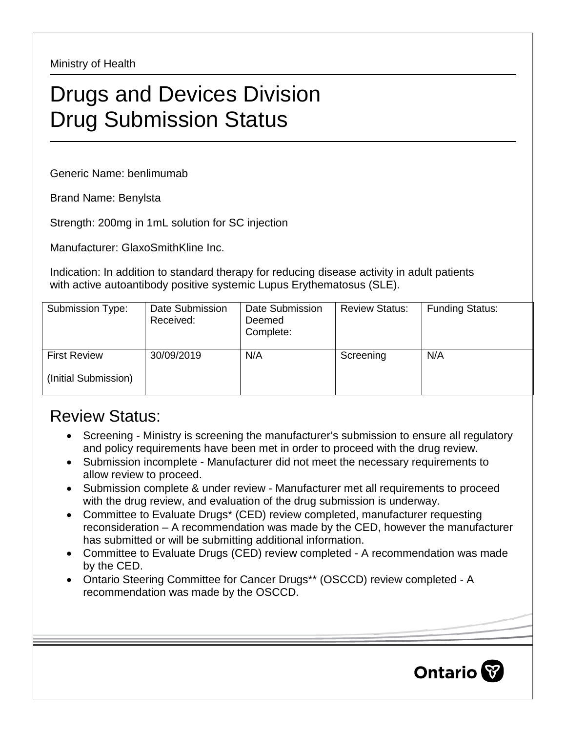Ministry of Health

## Drugs and Devices Division Drug Submission Status

Generic Name: benlimumab

Brand Name: Benylsta

Strength: 200mg in 1mL solution for SC injection

Manufacturer: GlaxoSmithKline Inc.

Indication: In addition to standard therapy for reducing disease activity in adult patients with active autoantibody positive systemic Lupus Erythematosus (SLE).

| Submission Type:                            | Date Submission<br>Received: | Date Submission<br>Deemed<br>Complete: | <b>Review Status:</b> | <b>Funding Status:</b> |
|---------------------------------------------|------------------------------|----------------------------------------|-----------------------|------------------------|
| <b>First Review</b><br>(Initial Submission) | 30/09/2019                   | N/A                                    | Screening             | N/A                    |

## Review Status:

- Screening Ministry is screening the manufacturer's submission to ensure all regulatory and policy requirements have been met in order to proceed with the drug review.
- Submission incomplete Manufacturer did not meet the necessary requirements to allow review to proceed.
- Submission complete & under review Manufacturer met all requirements to proceed with the drug review, and evaluation of the drug submission is underway.
- Committee to Evaluate Drugs\* (CED) review completed, manufacturer requesting reconsideration – A recommendation was made by the CED, however the manufacturer has submitted or will be submitting additional information.
- Committee to Evaluate Drugs (CED) review completed A recommendation was made by the CED.
- Ontario Steering Committee for Cancer Drugs\*\* (OSCCD) review completed A recommendation was made by the OSCCD.